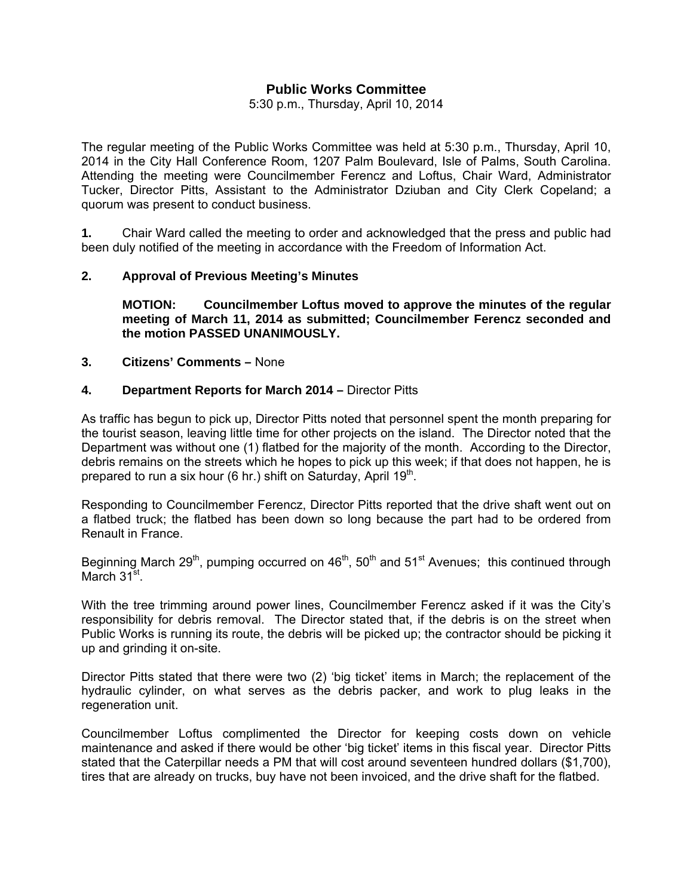# **Public Works Committee**

5:30 p.m., Thursday, April 10, 2014

The regular meeting of the Public Works Committee was held at 5:30 p.m., Thursday, April 10, 2014 in the City Hall Conference Room, 1207 Palm Boulevard, Isle of Palms, South Carolina. Attending the meeting were Councilmember Ferencz and Loftus, Chair Ward, Administrator Tucker, Director Pitts, Assistant to the Administrator Dziuban and City Clerk Copeland; a quorum was present to conduct business.

**1.** Chair Ward called the meeting to order and acknowledged that the press and public had been duly notified of the meeting in accordance with the Freedom of Information Act.

## **2. Approval of Previous Meeting's Minutes**

 **MOTION: Councilmember Loftus moved to approve the minutes of the regular meeting of March 11, 2014 as submitted; Councilmember Ferencz seconded and the motion PASSED UNANIMOUSLY.** 

**3. Citizens' Comments –** None

#### **4. Department Reports for March 2014 –** Director Pitts

As traffic has begun to pick up, Director Pitts noted that personnel spent the month preparing for the tourist season, leaving little time for other projects on the island. The Director noted that the Department was without one (1) flatbed for the majority of the month. According to the Director, debris remains on the streets which he hopes to pick up this week; if that does not happen, he is prepared to run a six hour (6 hr.) shift on Saturday, April  $19<sup>th</sup>$ .

Responding to Councilmember Ferencz, Director Pitts reported that the drive shaft went out on a flatbed truck; the flatbed has been down so long because the part had to be ordered from Renault in France.

Beginning March 29<sup>th</sup>, pumping occurred on 46<sup>th</sup>, 50<sup>th</sup> and 51<sup>st</sup> Avenues; this continued through March 31<sup>st</sup>.

With the tree trimming around power lines, Councilmember Ferencz asked if it was the City's responsibility for debris removal. The Director stated that, if the debris is on the street when Public Works is running its route, the debris will be picked up; the contractor should be picking it up and grinding it on-site.

Director Pitts stated that there were two (2) 'big ticket' items in March; the replacement of the hydraulic cylinder, on what serves as the debris packer, and work to plug leaks in the regeneration unit.

Councilmember Loftus complimented the Director for keeping costs down on vehicle maintenance and asked if there would be other 'big ticket' items in this fiscal year. Director Pitts stated that the Caterpillar needs a PM that will cost around seventeen hundred dollars (\$1,700), tires that are already on trucks, buy have not been invoiced, and the drive shaft for the flatbed.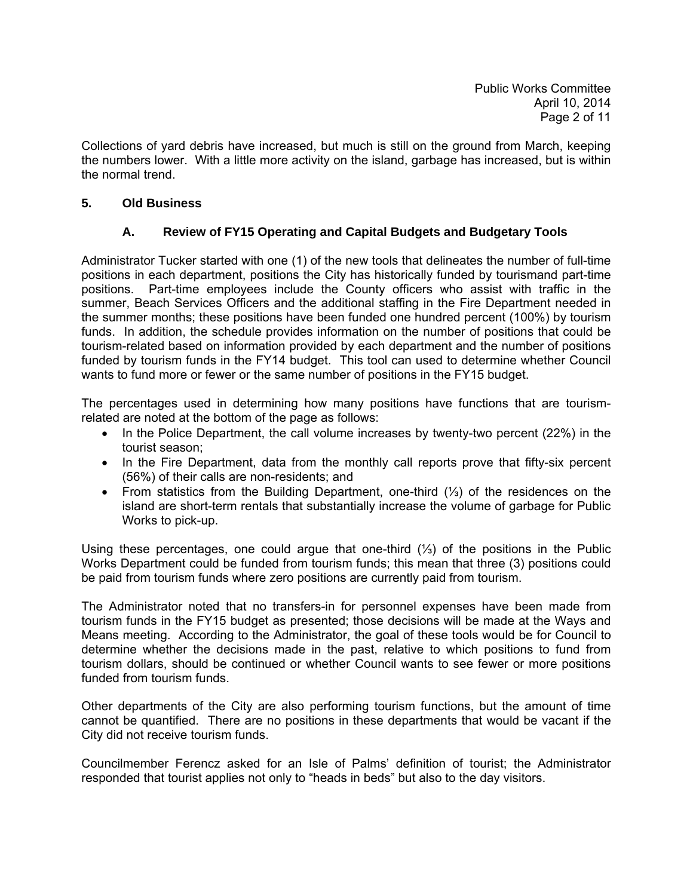Collections of yard debris have increased, but much is still on the ground from March, keeping the numbers lower. With a little more activity on the island, garbage has increased, but is within the normal trend.

# **5. Old Business**

# **A. Review of FY15 Operating and Capital Budgets and Budgetary Tools**

Administrator Tucker started with one (1) of the new tools that delineates the number of full-time positions in each department, positions the City has historically funded by tourismand part-time positions. Part-time employees include the County officers who assist with traffic in the summer, Beach Services Officers and the additional staffing in the Fire Department needed in the summer months; these positions have been funded one hundred percent (100%) by tourism funds. In addition, the schedule provides information on the number of positions that could be tourism-related based on information provided by each department and the number of positions funded by tourism funds in the FY14 budget. This tool can used to determine whether Council wants to fund more or fewer or the same number of positions in the FY15 budget.

The percentages used in determining how many positions have functions that are tourismrelated are noted at the bottom of the page as follows:

- In the Police Department, the call volume increases by twenty-two percent (22%) in the tourist season;
- In the Fire Department, data from the monthly call reports prove that fifty-six percent (56%) of their calls are non-residents; and
- From statistics from the Building Department, one-third (⅓) of the residences on the island are short-term rentals that substantially increase the volume of garbage for Public Works to pick-up.

Using these percentages, one could argue that one-third (⅓) of the positions in the Public Works Department could be funded from tourism funds; this mean that three (3) positions could be paid from tourism funds where zero positions are currently paid from tourism.

The Administrator noted that no transfers-in for personnel expenses have been made from tourism funds in the FY15 budget as presented; those decisions will be made at the Ways and Means meeting. According to the Administrator, the goal of these tools would be for Council to determine whether the decisions made in the past, relative to which positions to fund from tourism dollars, should be continued or whether Council wants to see fewer or more positions funded from tourism funds.

Other departments of the City are also performing tourism functions, but the amount of time cannot be quantified. There are no positions in these departments that would be vacant if the City did not receive tourism funds.

Councilmember Ferencz asked for an Isle of Palms' definition of tourist; the Administrator responded that tourist applies not only to "heads in beds" but also to the day visitors.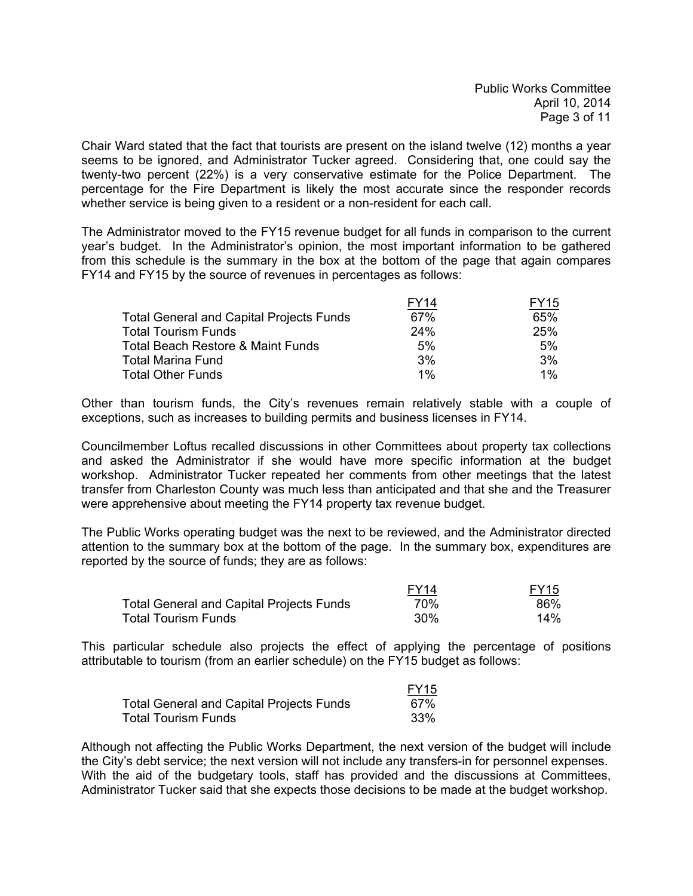Chair Ward stated that the fact that tourists are present on the island twelve (12) months a year seems to be ignored, and Administrator Tucker agreed. Considering that, one could say the twenty-two percent (22%) is a very conservative estimate for the Police Department. The percentage for the Fire Department is likely the most accurate since the responder records whether service is being given to a resident or a non-resident for each call.

The Administrator moved to the FY15 revenue budget for all funds in comparison to the current year's budget. In the Administrator's opinion, the most important information to be gathered from this schedule is the summary in the box at the bottom of the page that again compares FY14 and FY15 by the source of revenues in percentages as follows:

|                                                 | FY14  | FY15  |
|-------------------------------------------------|-------|-------|
| <b>Total General and Capital Projects Funds</b> | 67%   | 65%   |
| <b>Total Tourism Funds</b>                      | 24%   | 25%   |
| Total Beach Restore & Maint Funds               | 5%    | 5%    |
| <b>Total Marina Fund</b>                        | 3%    | 3%    |
| <b>Total Other Funds</b>                        | $1\%$ | $1\%$ |

Other than tourism funds, the City's revenues remain relatively stable with a couple of exceptions, such as increases to building permits and business licenses in FY14.

Councilmember Loftus recalled discussions in other Committees about property tax collections and asked the Administrator if she would have more specific information at the budget workshop. Administrator Tucker repeated her comments from other meetings that the latest transfer from Charleston County was much less than anticipated and that she and the Treasurer were apprehensive about meeting the FY14 property tax revenue budget.

The Public Works operating budget was the next to be reviewed, and the Administrator directed attention to the summary box at the bottom of the page. In the summary box, expenditures are reported by the source of funds; they are as follows:

|                                                 | FY14 | <b>FY15</b> |
|-------------------------------------------------|------|-------------|
| <b>Total General and Capital Projects Funds</b> | 70%  | 86%         |
| <b>Total Tourism Funds</b>                      | 30%  | 14%         |

This particular schedule also projects the effect of applying the percentage of positions attributable to tourism (from an earlier schedule) on the FY15 budget as follows:

|                                                 | <b>FY15</b> |
|-------------------------------------------------|-------------|
| <b>Total General and Capital Projects Funds</b> | 67%         |
| <b>Total Tourism Funds</b>                      | .33%        |

Although not affecting the Public Works Department, the next version of the budget will include the City's debt service; the next version will not include any transfers-in for personnel expenses. With the aid of the budgetary tools, staff has provided and the discussions at Committees, Administrator Tucker said that she expects those decisions to be made at the budget workshop.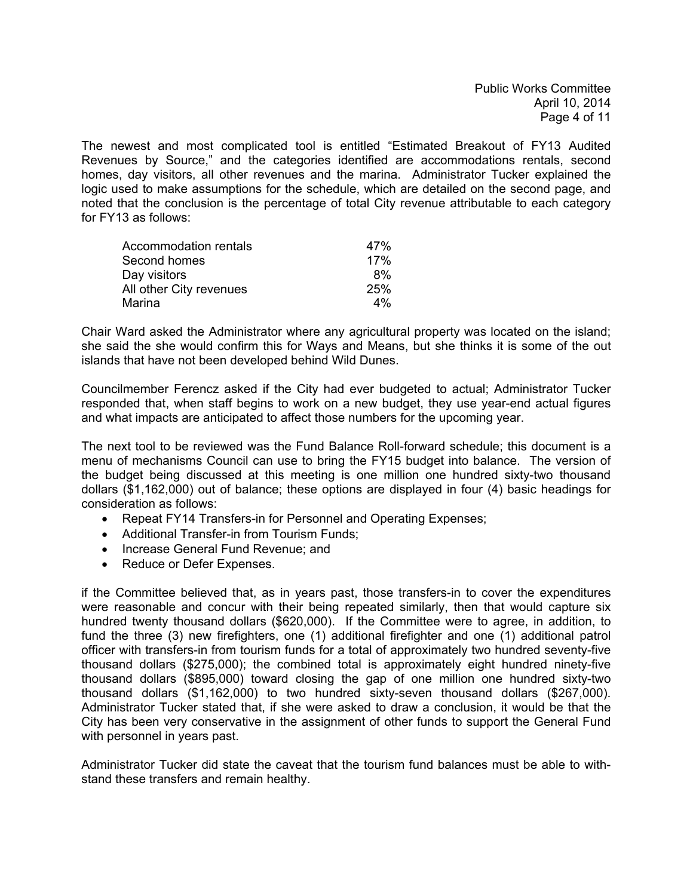The newest and most complicated tool is entitled "Estimated Breakout of FY13 Audited Revenues by Source," and the categories identified are accommodations rentals, second homes, day visitors, all other revenues and the marina. Administrator Tucker explained the logic used to make assumptions for the schedule, which are detailed on the second page, and noted that the conclusion is the percentage of total City revenue attributable to each category for FY13 as follows:

| Accommodation rentals   | 47% |
|-------------------------|-----|
| Second homes            | 17% |
| Day visitors            | 8%  |
| All other City revenues | 25% |
| Marina                  | 4%  |

Chair Ward asked the Administrator where any agricultural property was located on the island; she said the she would confirm this for Ways and Means, but she thinks it is some of the out islands that have not been developed behind Wild Dunes.

Councilmember Ferencz asked if the City had ever budgeted to actual; Administrator Tucker responded that, when staff begins to work on a new budget, they use year-end actual figures and what impacts are anticipated to affect those numbers for the upcoming year.

The next tool to be reviewed was the Fund Balance Roll-forward schedule; this document is a menu of mechanisms Council can use to bring the FY15 budget into balance. The version of the budget being discussed at this meeting is one million one hundred sixty-two thousand dollars (\$1,162,000) out of balance; these options are displayed in four (4) basic headings for consideration as follows:

- Repeat FY14 Transfers-in for Personnel and Operating Expenses;
- Additional Transfer-in from Tourism Funds;
- Increase General Fund Revenue; and
- Reduce or Defer Expenses.

if the Committee believed that, as in years past, those transfers-in to cover the expenditures were reasonable and concur with their being repeated similarly, then that would capture six hundred twenty thousand dollars (\$620,000). If the Committee were to agree, in addition, to fund the three (3) new firefighters, one (1) additional firefighter and one (1) additional patrol officer with transfers-in from tourism funds for a total of approximately two hundred seventy-five thousand dollars (\$275,000); the combined total is approximately eight hundred ninety-five thousand dollars (\$895,000) toward closing the gap of one million one hundred sixty-two thousand dollars (\$1,162,000) to two hundred sixty-seven thousand dollars (\$267,000). Administrator Tucker stated that, if she were asked to draw a conclusion, it would be that the City has been very conservative in the assignment of other funds to support the General Fund with personnel in years past.

Administrator Tucker did state the caveat that the tourism fund balances must be able to withstand these transfers and remain healthy.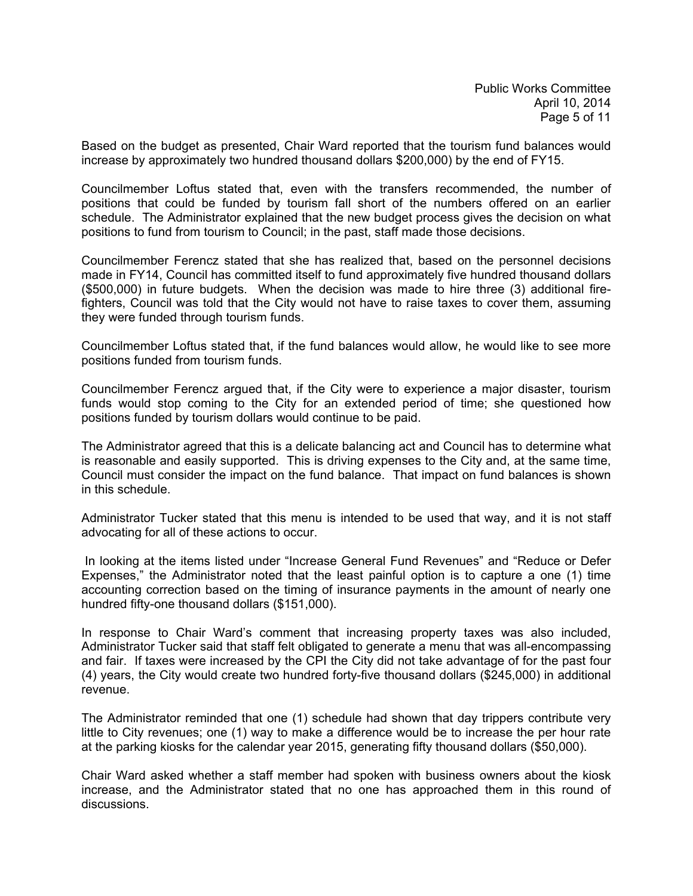Based on the budget as presented, Chair Ward reported that the tourism fund balances would increase by approximately two hundred thousand dollars \$200,000) by the end of FY15.

Councilmember Loftus stated that, even with the transfers recommended, the number of positions that could be funded by tourism fall short of the numbers offered on an earlier schedule. The Administrator explained that the new budget process gives the decision on what positions to fund from tourism to Council; in the past, staff made those decisions.

Councilmember Ferencz stated that she has realized that, based on the personnel decisions made in FY14, Council has committed itself to fund approximately five hundred thousand dollars (\$500,000) in future budgets. When the decision was made to hire three (3) additional firefighters, Council was told that the City would not have to raise taxes to cover them, assuming they were funded through tourism funds.

Councilmember Loftus stated that, if the fund balances would allow, he would like to see more positions funded from tourism funds.

Councilmember Ferencz argued that, if the City were to experience a major disaster, tourism funds would stop coming to the City for an extended period of time; she questioned how positions funded by tourism dollars would continue to be paid.

The Administrator agreed that this is a delicate balancing act and Council has to determine what is reasonable and easily supported. This is driving expenses to the City and, at the same time, Council must consider the impact on the fund balance. That impact on fund balances is shown in this schedule.

Administrator Tucker stated that this menu is intended to be used that way, and it is not staff advocating for all of these actions to occur.

 In looking at the items listed under "Increase General Fund Revenues" and "Reduce or Defer Expenses," the Administrator noted that the least painful option is to capture a one (1) time accounting correction based on the timing of insurance payments in the amount of nearly one hundred fifty-one thousand dollars (\$151,000).

In response to Chair Ward's comment that increasing property taxes was also included, Administrator Tucker said that staff felt obligated to generate a menu that was all-encompassing and fair. If taxes were increased by the CPI the City did not take advantage of for the past four (4) years, the City would create two hundred forty-five thousand dollars (\$245,000) in additional revenue.

The Administrator reminded that one (1) schedule had shown that day trippers contribute very little to City revenues; one (1) way to make a difference would be to increase the per hour rate at the parking kiosks for the calendar year 2015, generating fifty thousand dollars (\$50,000).

Chair Ward asked whether a staff member had spoken with business owners about the kiosk increase, and the Administrator stated that no one has approached them in this round of discussions.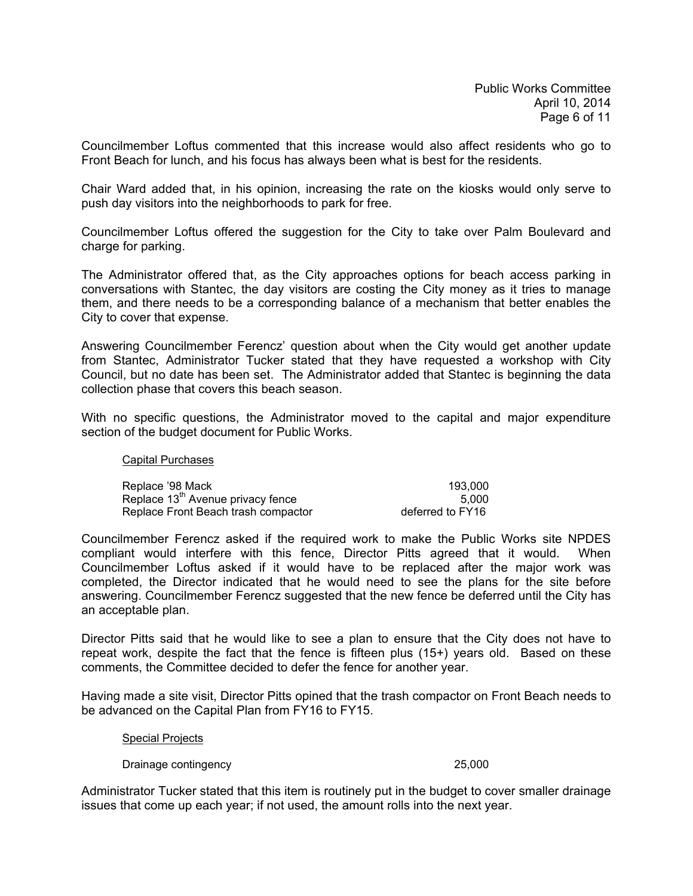Councilmember Loftus commented that this increase would also affect residents who go to Front Beach for lunch, and his focus has always been what is best for the residents.

Chair Ward added that, in his opinion, increasing the rate on the kiosks would only serve to push day visitors into the neighborhoods to park for free.

Councilmember Loftus offered the suggestion for the City to take over Palm Boulevard and charge for parking.

The Administrator offered that, as the City approaches options for beach access parking in conversations with Stantec, the day visitors are costing the City money as it tries to manage them, and there needs to be a corresponding balance of a mechanism that better enables the City to cover that expense.

Answering Councilmember Ferencz' question about when the City would get another update from Stantec, Administrator Tucker stated that they have requested a workshop with City Council, but no date has been set. The Administrator added that Stantec is beginning the data collection phase that covers this beach season.

With no specific questions, the Administrator moved to the capital and major expenditure section of the budget document for Public Works.

#### Capital Purchases

| Replace '98 Mack                              | 193.000          |
|-----------------------------------------------|------------------|
| Replace 13 <sup>th</sup> Avenue privacy fence | 5.000            |
| Replace Front Beach trash compactor           | deferred to FY16 |

Councilmember Ferencz asked if the required work to make the Public Works site NPDES compliant would interfere with this fence, Director Pitts agreed that it would. When Councilmember Loftus asked if it would have to be replaced after the major work was completed, the Director indicated that he would need to see the plans for the site before answering. Councilmember Ferencz suggested that the new fence be deferred until the City has an acceptable plan.

Director Pitts said that he would like to see a plan to ensure that the City does not have to repeat work, despite the fact that the fence is fifteen plus (15+) years old. Based on these comments, the Committee decided to defer the fence for another year.

Having made a site visit, Director Pitts opined that the trash compactor on Front Beach needs to be advanced on the Capital Plan from FY16 to FY15.

#### Special Projects

Drainage contingency and the continues of the continues of the continues of the continues of the continues of the continues of the continues of the continues of the continues of the continues of the continues of the contin

Administrator Tucker stated that this item is routinely put in the budget to cover smaller drainage issues that come up each year; if not used, the amount rolls into the next year.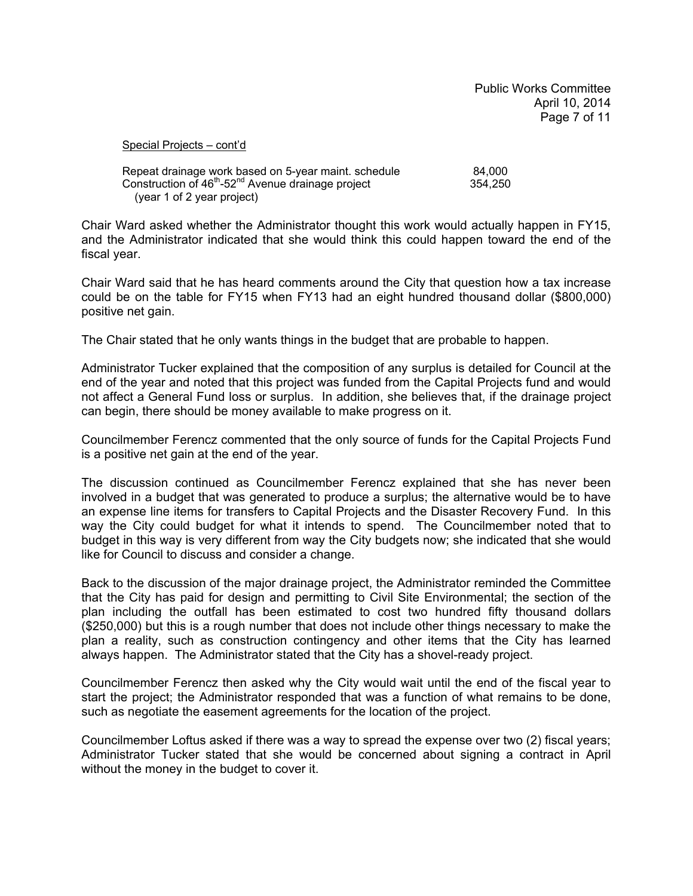Public Works Committee April 10, 2014 Page 7 of 11

Special Projects – cont'd

| Repeat drainage work based on 5-year maint. schedule                       | 84.000  |
|----------------------------------------------------------------------------|---------|
| Construction of 46 <sup>th</sup> -52 <sup>nd</sup> Avenue drainage project | 354.250 |
| (year 1 of 2 year project)                                                 |         |

Chair Ward asked whether the Administrator thought this work would actually happen in FY15, and the Administrator indicated that she would think this could happen toward the end of the fiscal year.

Chair Ward said that he has heard comments around the City that question how a tax increase could be on the table for FY15 when FY13 had an eight hundred thousand dollar (\$800,000) positive net gain.

The Chair stated that he only wants things in the budget that are probable to happen.

Administrator Tucker explained that the composition of any surplus is detailed for Council at the end of the year and noted that this project was funded from the Capital Projects fund and would not affect a General Fund loss or surplus. In addition, she believes that, if the drainage project can begin, there should be money available to make progress on it.

Councilmember Ferencz commented that the only source of funds for the Capital Projects Fund is a positive net gain at the end of the year.

The discussion continued as Councilmember Ferencz explained that she has never been involved in a budget that was generated to produce a surplus; the alternative would be to have an expense line items for transfers to Capital Projects and the Disaster Recovery Fund. In this way the City could budget for what it intends to spend. The Councilmember noted that to budget in this way is very different from way the City budgets now; she indicated that she would like for Council to discuss and consider a change.

Back to the discussion of the major drainage project, the Administrator reminded the Committee that the City has paid for design and permitting to Civil Site Environmental; the section of the plan including the outfall has been estimated to cost two hundred fifty thousand dollars (\$250,000) but this is a rough number that does not include other things necessary to make the plan a reality, such as construction contingency and other items that the City has learned always happen. The Administrator stated that the City has a shovel-ready project.

Councilmember Ferencz then asked why the City would wait until the end of the fiscal year to start the project; the Administrator responded that was a function of what remains to be done, such as negotiate the easement agreements for the location of the project.

Councilmember Loftus asked if there was a way to spread the expense over two (2) fiscal years; Administrator Tucker stated that she would be concerned about signing a contract in April without the money in the budget to cover it.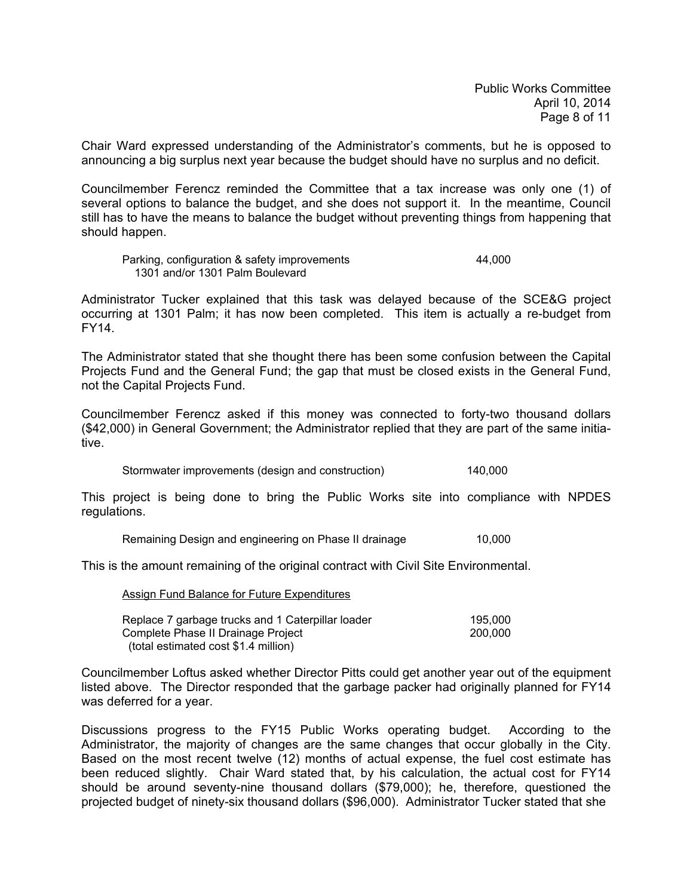Chair Ward expressed understanding of the Administrator's comments, but he is opposed to announcing a big surplus next year because the budget should have no surplus and no deficit.

Councilmember Ferencz reminded the Committee that a tax increase was only one (1) of several options to balance the budget, and she does not support it. In the meantime, Council still has to have the means to balance the budget without preventing things from happening that should happen.

 Parking, configuration & safety improvements 44,000 1301 and/or 1301 Palm Boulevard

Administrator Tucker explained that this task was delayed because of the SCE&G project occurring at 1301 Palm; it has now been completed. This item is actually a re-budget from FY14.

The Administrator stated that she thought there has been some confusion between the Capital Projects Fund and the General Fund; the gap that must be closed exists in the General Fund, not the Capital Projects Fund.

Councilmember Ferencz asked if this money was connected to forty-two thousand dollars (\$42,000) in General Government; the Administrator replied that they are part of the same initiative.

Stormwater improvements (design and construction) 140,000

This project is being done to bring the Public Works site into compliance with NPDES regulations.

Remaining Design and engineering on Phase II drainage 10,000

This is the amount remaining of the original contract with Civil Site Environmental.

Assign Fund Balance for Future Expenditures

| Replace 7 garbage trucks and 1 Caterpillar loader | 195.000 |
|---------------------------------------------------|---------|
| Complete Phase II Drainage Project                | 200,000 |
| (total estimated cost \$1.4 million)              |         |

Councilmember Loftus asked whether Director Pitts could get another year out of the equipment listed above. The Director responded that the garbage packer had originally planned for FY14 was deferred for a year.

Discussions progress to the FY15 Public Works operating budget. According to the Administrator, the majority of changes are the same changes that occur globally in the City. Based on the most recent twelve (12) months of actual expense, the fuel cost estimate has been reduced slightly. Chair Ward stated that, by his calculation, the actual cost for FY14 should be around seventy-nine thousand dollars (\$79,000); he, therefore, questioned the projected budget of ninety-six thousand dollars (\$96,000). Administrator Tucker stated that she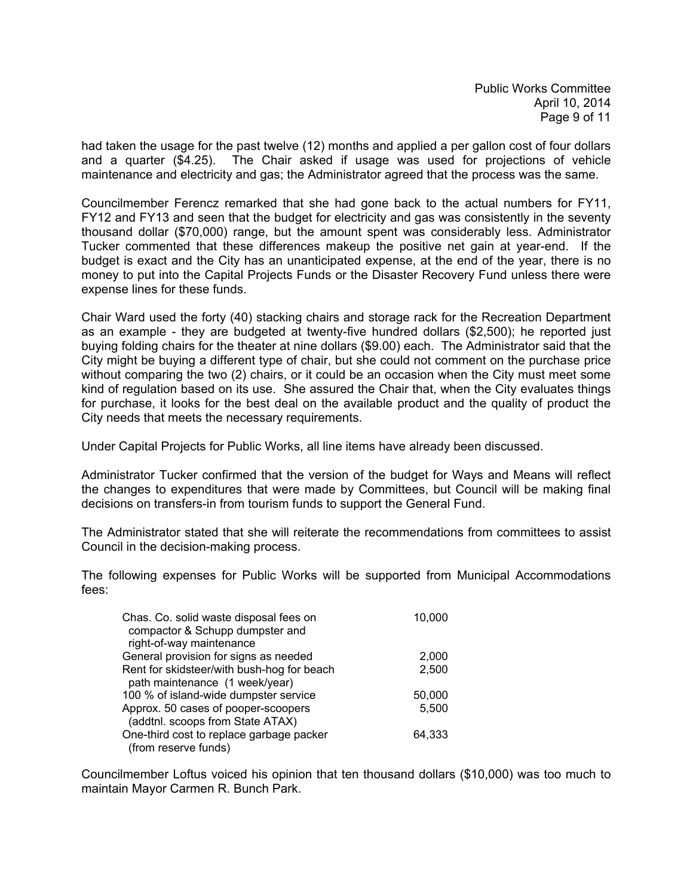had taken the usage for the past twelve (12) months and applied a per gallon cost of four dollars and a quarter (\$4.25). The Chair asked if usage was used for projections of vehicle maintenance and electricity and gas; the Administrator agreed that the process was the same.

Councilmember Ferencz remarked that she had gone back to the actual numbers for FY11, FY12 and FY13 and seen that the budget for electricity and gas was consistently in the seventy thousand dollar (\$70,000) range, but the amount spent was considerably less. Administrator Tucker commented that these differences makeup the positive net gain at year-end. If the budget is exact and the City has an unanticipated expense, at the end of the year, there is no money to put into the Capital Projects Funds or the Disaster Recovery Fund unless there were expense lines for these funds.

Chair Ward used the forty (40) stacking chairs and storage rack for the Recreation Department as an example - they are budgeted at twenty-five hundred dollars (\$2,500); he reported just buying folding chairs for the theater at nine dollars (\$9.00) each. The Administrator said that the City might be buying a different type of chair, but she could not comment on the purchase price without comparing the two (2) chairs, or it could be an occasion when the City must meet some kind of regulation based on its use. She assured the Chair that, when the City evaluates things for purchase, it looks for the best deal on the available product and the quality of product the City needs that meets the necessary requirements.

Under Capital Projects for Public Works, all line items have already been discussed.

Administrator Tucker confirmed that the version of the budget for Ways and Means will reflect the changes to expenditures that were made by Committees, but Council will be making final decisions on transfers-in from tourism funds to support the General Fund.

The Administrator stated that she will reiterate the recommendations from committees to assist Council in the decision-making process.

The following expenses for Public Works will be supported from Municipal Accommodations fees:

| Chas. Co. solid waste disposal fees on<br>compactor & Schupp dumpster and<br>right-of-way maintenance | 10,000 |
|-------------------------------------------------------------------------------------------------------|--------|
| General provision for signs as needed                                                                 | 2,000  |
| Rent for skidsteer/with bush-hog for beach<br>path maintenance (1 week/year)                          | 2,500  |
| 100 % of island-wide dumpster service                                                                 | 50,000 |
| Approx. 50 cases of pooper-scoopers<br>(addtnl. scoops from State ATAX)                               | 5,500  |
| One-third cost to replace garbage packer<br>(from reserve funds)                                      | 64,333 |

Councilmember Loftus voiced his opinion that ten thousand dollars (\$10,000) was too much to maintain Mayor Carmen R. Bunch Park.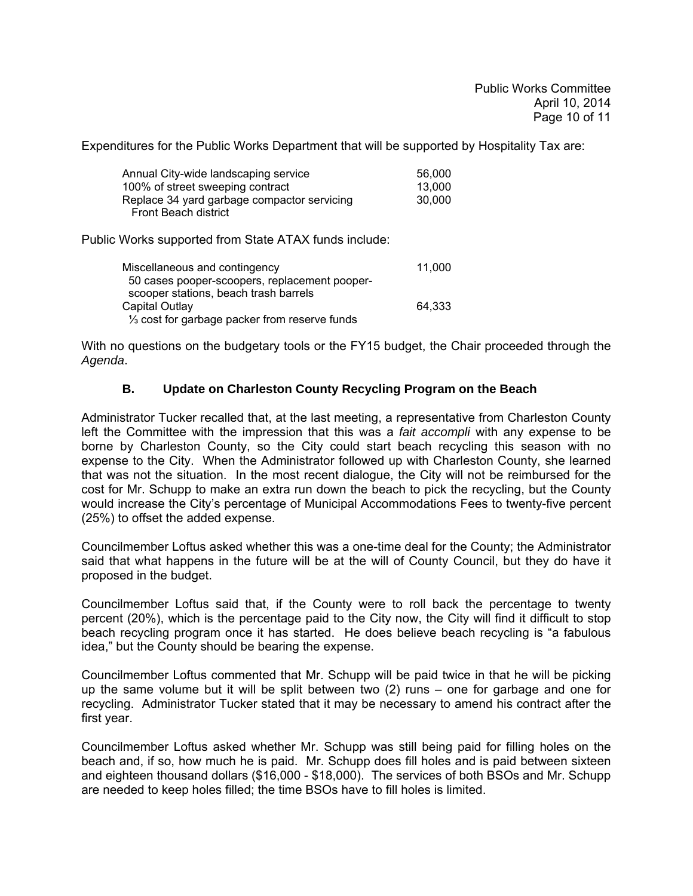Expenditures for the Public Works Department that will be supported by Hospitality Tax are:

| Annual City-wide landscaping service                                       | 56.000 |
|----------------------------------------------------------------------------|--------|
| 100% of street sweeping contract                                           | 13.000 |
| Replace 34 yard garbage compactor servicing<br><b>Front Beach district</b> | 30,000 |

Public Works supported from State ATAX funds include:

| Miscellaneous and contingency                              | 11.000 |
|------------------------------------------------------------|--------|
| 50 cases pooper-scoopers, replacement pooper-              |        |
| scooper stations, beach trash barrels                      |        |
| Capital Outlay                                             | 64.333 |
| 1/ <sub>3</sub> cost for garbage packer from reserve funds |        |

With no questions on the budgetary tools or the FY15 budget, the Chair proceeded through the *Agenda*.

## **B. Update on Charleston County Recycling Program on the Beach**

Administrator Tucker recalled that, at the last meeting, a representative from Charleston County left the Committee with the impression that this was a *fait accompli* with any expense to be borne by Charleston County, so the City could start beach recycling this season with no expense to the City. When the Administrator followed up with Charleston County, she learned that was not the situation. In the most recent dialogue, the City will not be reimbursed for the cost for Mr. Schupp to make an extra run down the beach to pick the recycling, but the County would increase the City's percentage of Municipal Accommodations Fees to twenty-five percent (25%) to offset the added expense.

Councilmember Loftus asked whether this was a one-time deal for the County; the Administrator said that what happens in the future will be at the will of County Council, but they do have it proposed in the budget.

Councilmember Loftus said that, if the County were to roll back the percentage to twenty percent (20%), which is the percentage paid to the City now, the City will find it difficult to stop beach recycling program once it has started. He does believe beach recycling is "a fabulous idea," but the County should be bearing the expense.

Councilmember Loftus commented that Mr. Schupp will be paid twice in that he will be picking up the same volume but it will be split between two (2) runs – one for garbage and one for recycling. Administrator Tucker stated that it may be necessary to amend his contract after the first year.

Councilmember Loftus asked whether Mr. Schupp was still being paid for filling holes on the beach and, if so, how much he is paid. Mr. Schupp does fill holes and is paid between sixteen and eighteen thousand dollars (\$16,000 - \$18,000). The services of both BSOs and Mr. Schupp are needed to keep holes filled; the time BSOs have to fill holes is limited.